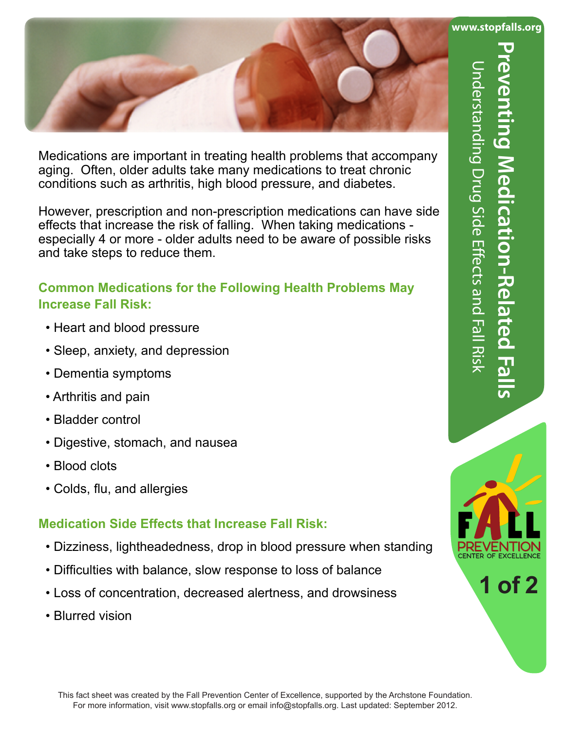

 Medications are important in treating health problems that accompany aging. Often, older adults take many medications to treat chronic conditions such as arthritis, high blood pressure, and diabetes.

 However, prescription and non-prescription medications can have side effects that increase the risk of falling. When taking medications especially 4 or more - older adults need to be aware of possible risks and take steps to reduce them.

## **Common Medications for the Following Health Problems May Increase Fall Risk:**

- Heart and blood pressure
- Sleep, anxiety, and depression
- Dementia symptoms
- Arthritis and pain
- Bladder control
- Digestive, stomach, and nausea
- Blood clots
- Colds, flu, and allergies

## **Medication Side Effects that Increase Fall Risk:**

- Dizziness, lightheadedness, drop in blood pressure when standing
- Difficulties with balance, slow response to loss of balance
- Loss of concentration, decreased alertness, and drowsiness
- Blurred vision



**1 of 2**